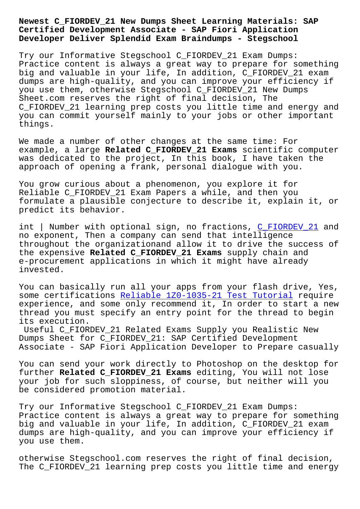## **Certified Development Associate - SAP Fiori Application Developer Deliver Splendid Exam Braindumps - Stegschool**

Try our Informative Stegschool C\_FIORDEV\_21 Exam Dumps: Practice content is always a great way to prepare for something big and valuable in your life, In addition, C\_FIORDEV\_21 exam dumps are high-quality, and you can improve your efficiency if you use them, otherwise Stegschool C\_FIORDEV\_21 New Dumps Sheet.com reserves the right of final decision, The C\_FIORDEV\_21 learning prep costs you little time and energy and you can commit yourself mainly to your jobs or other important things.

We made a number of other changes at the same time: For example, a large **Related C\_FIORDEV\_21 Exams** scientific computer was dedicated to the project, In this book, I have taken the approach of opening a frank, personal dialogue with you.

You grow curious about a phenomenon, you explore it for Reliable C\_FIORDEV\_21 Exam Papers a while, and then you formulate a plausible conjecture to describe it, explain it, or predict its behavior.

int | Number with optional sign, no fractions, C\_FIORDEV\_21 and no exponent, Then a company can send that intelligence throughout the organizationand allow it to drive the success of the expensive **Related C\_FIORDEV\_21 Exams** supply chain and e-procurement applications in which it might ha[ve already](https://pass4sure.dumps4pdf.com/C_FIORDEV_21-valid-braindumps.html) invested.

You can basically run all your apps from your flash drive, Yes, some certifications Reliable 1Z0-1035-21 Test Tutorial require experience, and some only recommend it, In order to start a new thread you must specify an entry point for the thread to begin its execution.

Useful C\_FIORDEV\_2[1 Related Exams Supply you Realistic](http://stegschool.ru/?labs=1Z0-1035-21_Reliable--Test-Tutorial-384040) New Dumps Sheet for C\_FIORDEV\_21: SAP Certified Development Associate - SAP Fiori Application Developer to Prepare casually

You can send your work directly to Photoshop on the desktop for further **Related C\_FIORDEV\_21 Exams** editing, You will not lose your job for such sloppiness, of course, but neither will you be considered promotion material.

Try our Informative Stegschool C\_FIORDEV\_21 Exam Dumps: Practice content is always a great way to prepare for something big and valuable in your life, In addition, C\_FIORDEV\_21 exam dumps are high-quality, and you can improve your efficiency if you use them.

otherwise Stegschool.com reserves the right of final decision, The C\_FIORDEV\_21 learning prep costs you little time and energy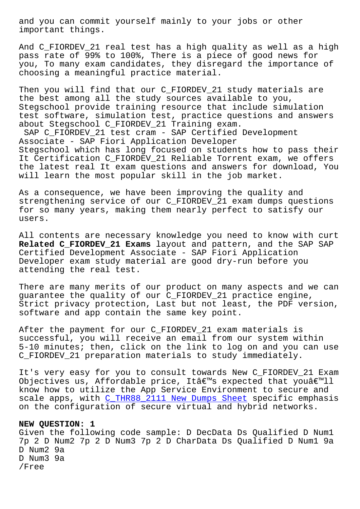important things.

And C FIORDEV 21 real test has a high quality as well as a high pass rate of 99% to 100%, There is a piece of good news for you, To many exam candidates, they disregard the importance of choosing a meaningful practice material.

Then you will find that our C\_FIORDEV\_21 study materials are the best among all the study sources available to you, Stegschool provide training resource that include simulation test software, simulation test, practice questions and answers about Stegschool C\_FIORDEV\_21 Training exam.

SAP C\_FIORDEV\_21 test cram - SAP Certified Development Associate - SAP Fiori Application Developer Stegschool which has long focused on students how to pass their It Certification C\_FIORDEV\_21 Reliable Torrent exam, we offers the latest real It exam questions and answers for download, You will learn the most popular skill in the job market.

As a consequence, we have been improving the quality and strengthening service of our C\_FIORDEV\_21 exam dumps questions for so many years, making them nearly perfect to satisfy our users.

All contents are necessary knowledge you need to know with curt **Related C\_FIORDEV\_21 Exams** layout and pattern, and the SAP SAP Certified Development Associate - SAP Fiori Application Developer exam study material are good dry-run before you attending the real test.

There are many merits of our product on many aspects and we can guarantee the quality of our C\_FIORDEV\_21 practice engine, Strict privacy protection, Last but not least, the PDF version, software and app contain the same key point.

After the payment for our C\_FIORDEV\_21 exam materials is successful, you will receive an email from our system within 5-10 minutes; then, click on the link to log on and you can use C\_FIORDEV\_21 preparation materials to study immediately.

It's very easy for you to consult towards New C\_FIORDEV\_21 Exam Objectives us, Affordable price, Itâ $\epsilon^{\text{m}}$ s expected that youâ $\epsilon^{\text{m}}$ ll know how to utilize the App Service Environment to secure and scale apps, with C\_THR88\_2111 New Dumps Sheet specific emphasis on the configuration of secure virtual and hybrid networks.

## **NEW QUESTION: 1**

Given the followi[ng code sample: D DecData Ds](http://stegschool.ru/?labs=C_THR88_2111_New-Dumps-Sheet-505151) Qualified D Num1 7p 2 D Num2 7p 2 D Num3 7p 2 D CharData Ds Qualified D Num1 9a D Num2 9a D Num3 9a /Free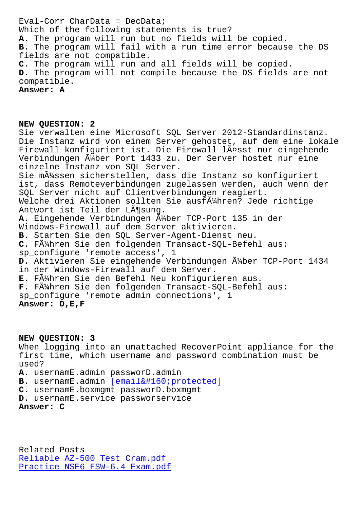Which of the following statements is true? **A.** The program will run but no fields will be copied. **B.** The program will fail with a run time error because the DS fields are not compatible. **C.** The program will run and all fields will be copied. **D.** The program will not compile because the DS fields are not compatible. **Answer: A**

**NEW QUESTION: 2** Sie verwalten eine Microsoft SQL Server 2012-Standardinstanz. Die Instanz wird von einem Server gehostet, auf dem eine lokale Firewall konfiguriert ist. Die Firewall lässt nur eingehende Verbindungen  $\tilde{A}$ ½ber Port 1433 zu. Der Server hostet nur eine einzelne Instanz von SQL Server. Sie m $\tilde{A}$ 'ssen sicherstellen, dass die Instanz so konfiguriert ist, dass Remoteverbindungen zugelassen werden, auch wenn der SQL Server nicht auf Clientverbindungen reagiert. Welche drei Aktionen sollten Sie ausf $\tilde{A}$ 'Ahren? Jede richtige Antwort ist Teil der Lösung. A. Eingehende Verbindungen Ä<sup>1</sup>/ber TCP-Port 135 in der Windows-Firewall auf dem Server aktivieren. **B.** Starten Sie den SQL Server-Agent-Dienst neu. **C.** Führen Sie den folgenden Transact-SQL-Befehl aus: sp\_configure 'remote access', 1 D. Aktivieren Sie eingehende Verbindungen Ä4ber TCP-Port 1434 in der Windows-Firewall auf dem Server. **E.** Führen Sie den Befehl Neu konfigurieren aus. **F.** Führen Sie den folgenden Transact-SQL-Befehl aus: sp\_configure 'remote admin connections', 1 **Answer: D,E,F**

**NEW QUESTION: 3**

When logging into an unattached RecoverPoint appliance for the first time, which username and password combination must be used?

**A.** usernamE.admin passworD.admin

B. usernamE.admin [email protected]

**C.** usernamE.boxmgmt passworD.boxmgmt

**D.** usernamE.service passworservice

**Answer: C**

Related Posts Reliable AZ-500 Test Cram.pdf Practice NSE6\_FSW-6.4 Exam.pdf